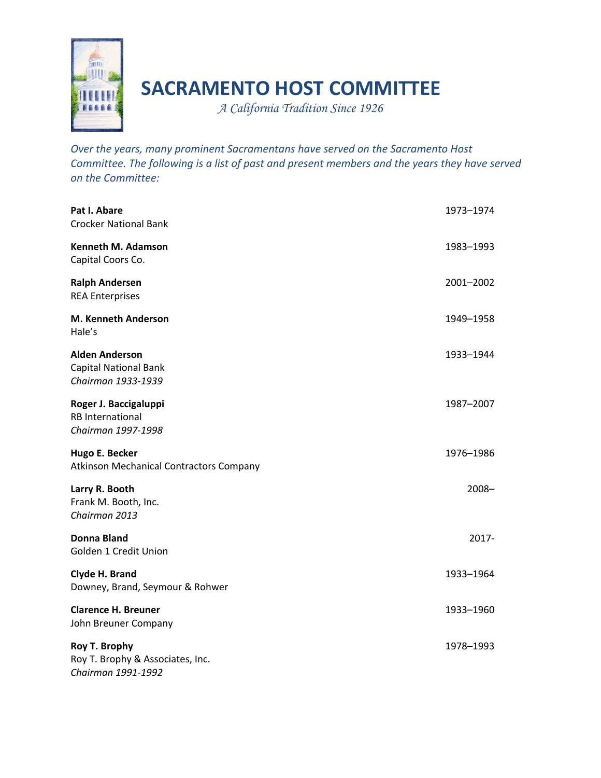

## **SACRAMENTO HOST COMMITTEE**

*A California Tradition Since 1926* 

*Over the years, many prominent Sacramentans have served on the Sacramento Host Committee. The following is a list of past and present members and the years they have served on the Committee:*

| Pat I. Abare<br><b>Crocker National Bank</b>                                | 1973-1974 |
|-----------------------------------------------------------------------------|-----------|
| Kenneth M. Adamson<br>Capital Coors Co.                                     | 1983–1993 |
| <b>Ralph Andersen</b><br><b>REA Enterprises</b>                             | 2001-2002 |
| M. Kenneth Anderson<br>Hale's                                               | 1949-1958 |
| <b>Alden Anderson</b><br><b>Capital National Bank</b><br>Chairman 1933-1939 | 1933-1944 |
| Roger J. Baccigaluppi<br><b>RB</b> International<br>Chairman 1997-1998      | 1987-2007 |
| Hugo E. Becker<br><b>Atkinson Mechanical Contractors Company</b>            | 1976-1986 |
| Larry R. Booth<br>Frank M. Booth, Inc.<br>Chairman 2013                     | 2008-     |
| <b>Donna Bland</b><br>Golden 1 Credit Union                                 | 2017-     |
| Clyde H. Brand<br>Downey, Brand, Seymour & Rohwer                           | 1933-1964 |
| <b>Clarence H. Breuner</b><br>John Breuner Company                          | 1933-1960 |
| Roy T. Brophy<br>Roy T. Brophy & Associates, Inc.<br>Chairman 1991-1992     | 1978-1993 |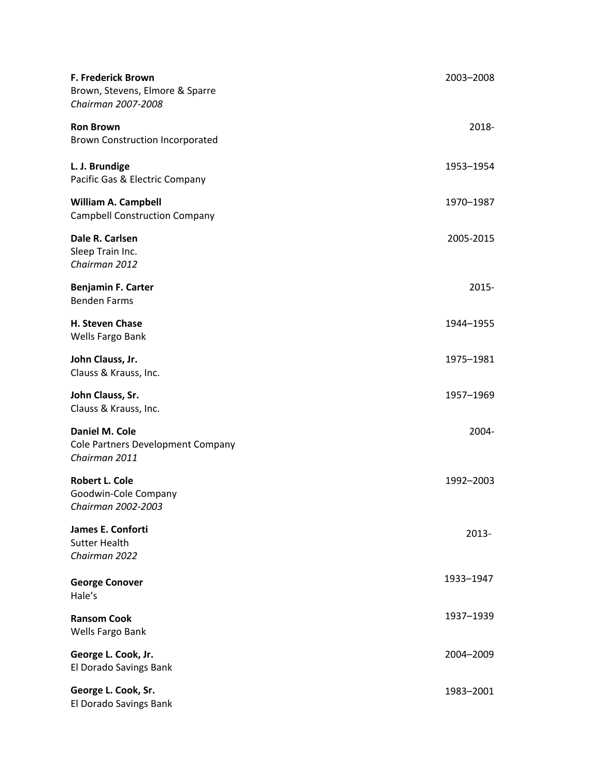| F. Frederick Brown<br>Brown, Stevens, Elmore & Sparre<br>Chairman 2007-2008 | 2003-2008 |
|-----------------------------------------------------------------------------|-----------|
| <b>Ron Brown</b><br><b>Brown Construction Incorporated</b>                  | 2018-     |
| L. J. Brundige<br>Pacific Gas & Electric Company                            | 1953-1954 |
| <b>William A. Campbell</b><br><b>Campbell Construction Company</b>          | 1970-1987 |
| Dale R. Carlsen<br>Sleep Train Inc.<br>Chairman 2012                        | 2005-2015 |
| <b>Benjamin F. Carter</b><br><b>Benden Farms</b>                            | 2015-     |
| H. Steven Chase<br>Wells Fargo Bank                                         | 1944-1955 |
| John Clauss, Jr.<br>Clauss & Krauss, Inc.                                   | 1975-1981 |
| John Clauss, Sr.<br>Clauss & Krauss, Inc.                                   | 1957-1969 |
| Daniel M. Cole<br>Cole Partners Development Company<br>Chairman 2011        | 2004-     |
| <b>Robert L. Cole</b><br>Goodwin-Cole Company<br>Chairman 2002-2003         | 1992-2003 |
| James E. Conforti<br><b>Sutter Health</b><br>Chairman 2022                  | $2013 -$  |
| <b>George Conover</b><br>Hale's                                             | 1933-1947 |
| <b>Ransom Cook</b><br>Wells Fargo Bank                                      | 1937-1939 |
| George L. Cook, Jr.<br>El Dorado Savings Bank                               | 2004-2009 |
| George L. Cook, Sr.<br>El Dorado Savings Bank                               | 1983-2001 |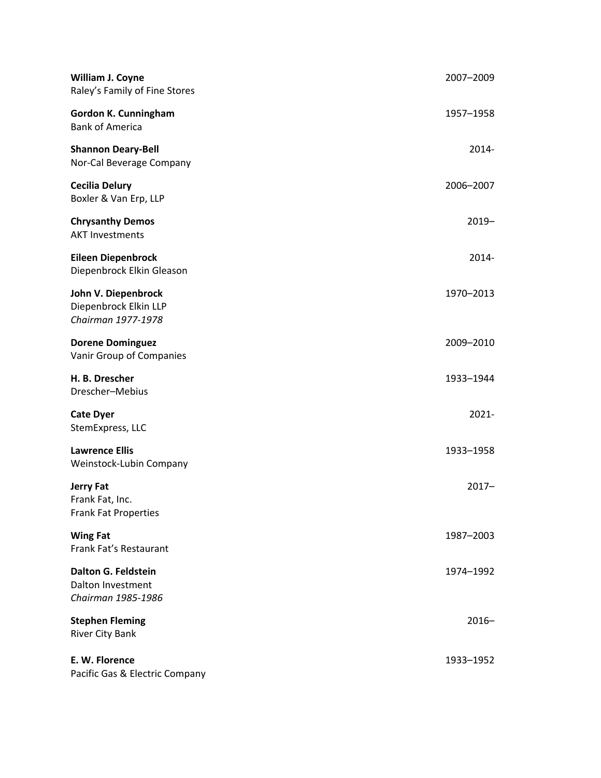| William J. Coyne<br>Raley's Family of Fine Stores                     | 2007-2009 |
|-----------------------------------------------------------------------|-----------|
| Gordon K. Cunningham<br><b>Bank of America</b>                        | 1957-1958 |
| <b>Shannon Deary-Bell</b><br>Nor-Cal Beverage Company                 | 2014-     |
| <b>Cecilia Delury</b><br>Boxler & Van Erp, LLP                        | 2006-2007 |
| <b>Chrysanthy Demos</b><br><b>AKT Investments</b>                     | $2019 -$  |
| <b>Eileen Diepenbrock</b><br>Diepenbrock Elkin Gleason                | 2014-     |
| John V. Diepenbrock<br>Diepenbrock Elkin LLP<br>Chairman 1977-1978    | 1970-2013 |
| <b>Dorene Dominguez</b><br>Vanir Group of Companies                   | 2009-2010 |
| H. B. Drescher<br>Drescher-Mebius                                     | 1933-1944 |
| <b>Cate Dyer</b><br>StemExpress, LLC                                  | $2021 -$  |
| <b>Lawrence Ellis</b><br>Weinstock-Lubin Company                      | 1933-1958 |
| <b>Jerry Fat</b><br>Frank Fat, Inc.<br><b>Frank Fat Properties</b>    | $2017 -$  |
| <b>Wing Fat</b><br>Frank Fat's Restaurant                             | 1987-2003 |
| <b>Dalton G. Feldstein</b><br>Dalton Investment<br>Chairman 1985-1986 | 1974-1992 |
| <b>Stephen Fleming</b><br><b>River City Bank</b>                      | $2016 -$  |
| E. W. Florence<br>Pacific Gas & Electric Company                      | 1933-1952 |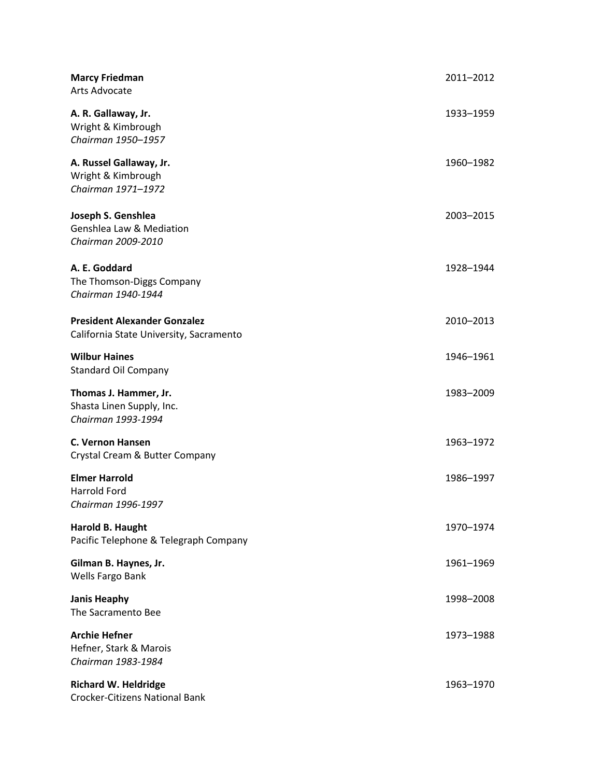| <b>Marcy Friedman</b><br>Arts Advocate                                         | 2011-2012 |
|--------------------------------------------------------------------------------|-----------|
| A. R. Gallaway, Jr.<br>Wright & Kimbrough<br>Chairman 1950-1957                | 1933-1959 |
| A. Russel Gallaway, Jr.<br>Wright & Kimbrough<br>Chairman 1971-1972            | 1960-1982 |
| Joseph S. Genshlea<br>Genshlea Law & Mediation<br>Chairman 2009-2010           | 2003-2015 |
| A. E. Goddard<br>The Thomson-Diggs Company<br>Chairman 1940-1944               | 1928-1944 |
| <b>President Alexander Gonzalez</b><br>California State University, Sacramento | 2010-2013 |
| <b>Wilbur Haines</b><br><b>Standard Oil Company</b>                            | 1946-1961 |
| Thomas J. Hammer, Jr.<br>Shasta Linen Supply, Inc.<br>Chairman 1993-1994       | 1983-2009 |
| <b>C. Vernon Hansen</b><br>Crystal Cream & Butter Company                      | 1963-1972 |
| <b>Elmer Harrold</b><br>Harrold Ford<br>Chairman 1996-1997                     | 1986-1997 |
| Harold B. Haught<br>Pacific Telephone & Telegraph Company                      | 1970-1974 |
| Gilman B. Haynes, Jr.<br>Wells Fargo Bank                                      | 1961-1969 |
| <b>Janis Heaphy</b><br>The Sacramento Bee                                      | 1998-2008 |
| <b>Archie Hefner</b><br>Hefner, Stark & Marois<br>Chairman 1983-1984           | 1973-1988 |
| <b>Richard W. Heldridge</b><br><b>Crocker-Citizens National Bank</b>           | 1963-1970 |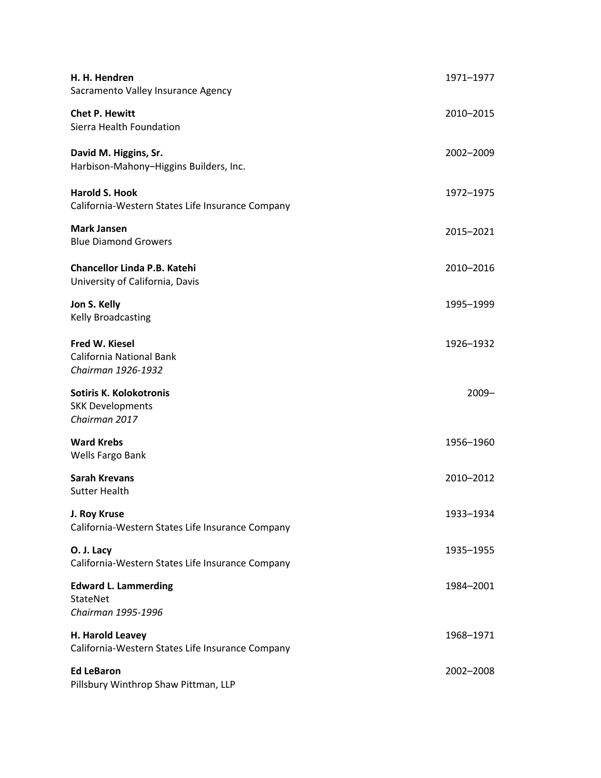| H. H. Hendren<br>Sacramento Valley Insurance Agency                        | 1971-1977 |
|----------------------------------------------------------------------------|-----------|
| <b>Chet P. Hewitt</b><br>Sierra Health Foundation                          | 2010-2015 |
| David M. Higgins, Sr.<br>Harbison-Mahony-Higgins Builders, Inc.            | 2002-2009 |
| <b>Harold S. Hook</b><br>California-Western States Life Insurance Company  | 1972-1975 |
| <b>Mark Jansen</b><br><b>Blue Diamond Growers</b>                          | 2015-2021 |
| Chancellor Linda P.B. Katehi<br>University of California, Davis            | 2010-2016 |
| Jon S. Kelly<br>Kelly Broadcasting                                         | 1995-1999 |
| <b>Fred W. Kiesel</b><br>California National Bank<br>Chairman 1926-1932    | 1926-1932 |
| <b>Sotiris K. Kolokotronis</b><br><b>SKK Developments</b><br>Chairman 2017 | $2009 -$  |
| <b>Ward Krebs</b><br>Wells Fargo Bank                                      | 1956-1960 |
| <b>Sarah Krevans</b><br><b>Sutter Health</b>                               | 2010-2012 |
| J. Roy Kruse<br>California-Western States Life Insurance Company           | 1933-1934 |
| O. J. Lacy<br>California-Western States Life Insurance Company             | 1935-1955 |
| <b>Edward L. Lammerding</b><br>StateNet<br>Chairman 1995-1996              | 1984-2001 |
| H. Harold Leavey<br>California-Western States Life Insurance Company       | 1968-1971 |
| <b>Ed LeBaron</b><br>Pillsbury Winthrop Shaw Pittman, LLP                  | 2002-2008 |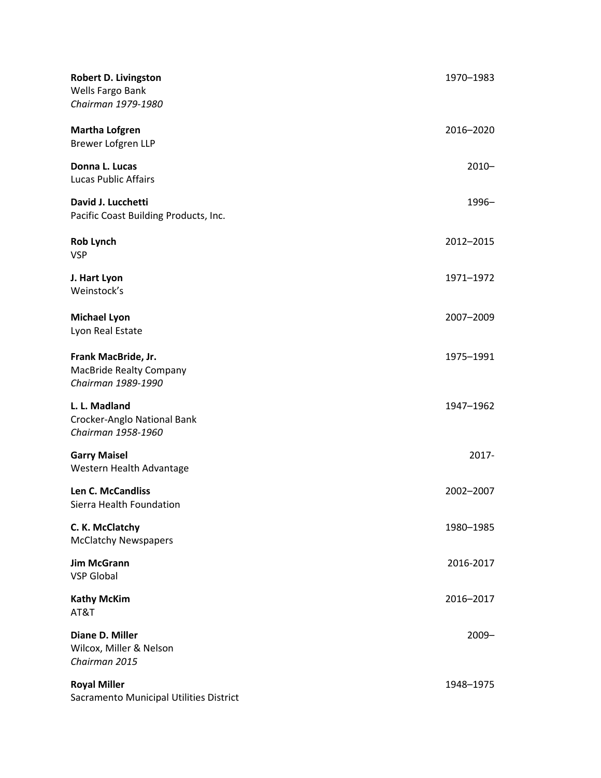| <b>Robert D. Livingston</b><br>Wells Fargo Bank<br>Chairman 1979-1980       | 1970–1983 |
|-----------------------------------------------------------------------------|-----------|
| <b>Martha Lofgren</b><br>Brewer Lofgren LLP                                 | 2016-2020 |
| Donna L. Lucas<br><b>Lucas Public Affairs</b>                               | $2010 -$  |
| David J. Lucchetti<br>Pacific Coast Building Products, Inc.                 | 1996-     |
| <b>Rob Lynch</b><br><b>VSP</b>                                              | 2012-2015 |
| J. Hart Lyon<br>Weinstock's                                                 | 1971-1972 |
| <b>Michael Lyon</b><br>Lyon Real Estate                                     | 2007-2009 |
| Frank MacBride, Jr.<br><b>MacBride Realty Company</b><br>Chairman 1989-1990 | 1975-1991 |
| L. L. Madland<br>Crocker-Anglo National Bank<br>Chairman 1958-1960          | 1947-1962 |
| <b>Garry Maisel</b><br>Western Health Advantage                             | 2017-     |
| Len C. McCandliss<br>Sierra Health Foundation                               | 2002-2007 |
| C. K. McClatchy<br><b>McClatchy Newspapers</b>                              | 1980-1985 |
| <b>Jim McGrann</b><br><b>VSP Global</b>                                     | 2016-2017 |
| <b>Kathy McKim</b><br>AT&T                                                  | 2016-2017 |
| Diane D. Miller<br>Wilcox, Miller & Nelson<br>Chairman 2015                 | $2009 -$  |
| <b>Royal Miller</b><br>Sacramento Municipal Utilities District              | 1948-1975 |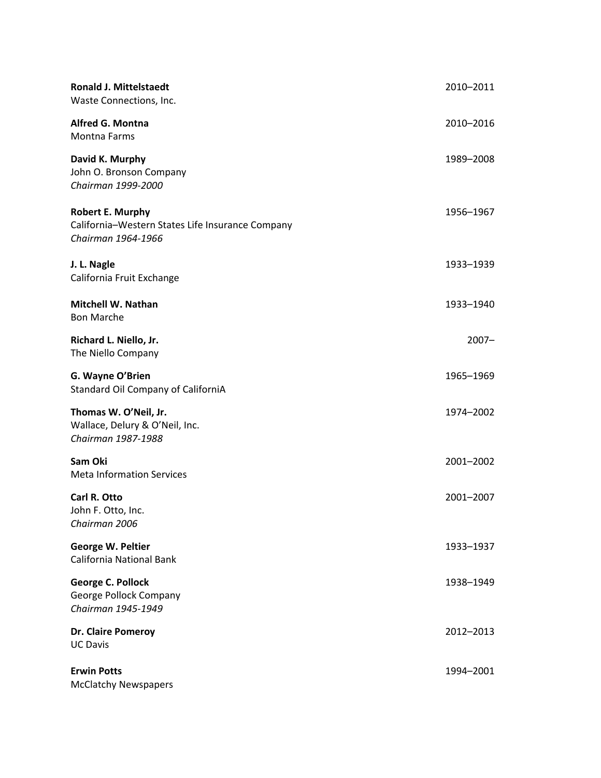| <b>Ronald J. Mittelstaedt</b><br>Waste Connections, Inc.                                          | 2010-2011 |
|---------------------------------------------------------------------------------------------------|-----------|
| <b>Alfred G. Montna</b><br><b>Montna Farms</b>                                                    | 2010-2016 |
| David K. Murphy<br>John O. Bronson Company<br>Chairman 1999-2000                                  | 1989-2008 |
| <b>Robert E. Murphy</b><br>California-Western States Life Insurance Company<br>Chairman 1964-1966 | 1956-1967 |
| J. L. Nagle<br>California Fruit Exchange                                                          | 1933-1939 |
| <b>Mitchell W. Nathan</b><br><b>Bon Marche</b>                                                    | 1933-1940 |
| Richard L. Niello, Jr.<br>The Niello Company                                                      | $2007 -$  |
| G. Wayne O'Brien<br>Standard Oil Company of CaliforniA                                            | 1965-1969 |
| Thomas W. O'Neil, Jr.<br>Wallace, Delury & O'Neil, Inc.<br>Chairman 1987-1988                     | 1974-2002 |
| Sam Oki<br><b>Meta Information Services</b>                                                       | 2001-2002 |
| Carl R. Otto<br>John F. Otto, Inc.<br>Chairman 2006                                               | 2001-2007 |
| George W. Peltier<br>California National Bank                                                     | 1933-1937 |
| George C. Pollock<br>George Pollock Company<br>Chairman 1945-1949                                 | 1938-1949 |
| Dr. Claire Pomeroy<br><b>UC Davis</b>                                                             | 2012-2013 |
| <b>Erwin Potts</b><br><b>McClatchy Newspapers</b>                                                 | 1994-2001 |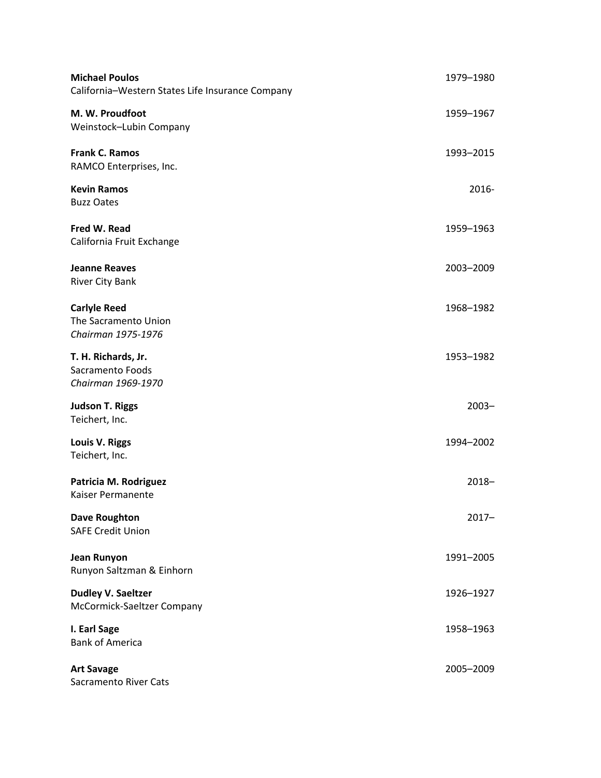| <b>Michael Poulos</b><br>California-Western States Life Insurance Company | 1979-1980 |
|---------------------------------------------------------------------------|-----------|
| M. W. Proudfoot<br>Weinstock-Lubin Company                                | 1959–1967 |
| <b>Frank C. Ramos</b><br>RAMCO Enterprises, Inc.                          | 1993-2015 |
| <b>Kevin Ramos</b><br><b>Buzz Oates</b>                                   | 2016-     |
| Fred W. Read<br>California Fruit Exchange                                 | 1959-1963 |
| <b>Jeanne Reaves</b><br><b>River City Bank</b>                            | 2003-2009 |
| <b>Carlyle Reed</b><br>The Sacramento Union<br>Chairman 1975-1976         | 1968-1982 |
| T. H. Richards, Jr.<br>Sacramento Foods<br>Chairman 1969-1970             | 1953-1982 |
| <b>Judson T. Riggs</b><br>Teichert, Inc.                                  | $2003 -$  |
| Louis V. Riggs<br>Teichert, Inc.                                          | 1994-2002 |
| Patricia M. Rodriguez<br>Kaiser Permanente                                | $2018 -$  |
| <b>Dave Roughton</b><br><b>SAFE Credit Union</b>                          | $2017 -$  |
| <b>Jean Runyon</b><br>Runyon Saltzman & Einhorn                           | 1991-2005 |
| <b>Dudley V. Saeltzer</b><br>McCormick-Saeltzer Company                   | 1926-1927 |
| I. Earl Sage<br><b>Bank of America</b>                                    | 1958-1963 |
| <b>Art Savage</b><br><b>Sacramento River Cats</b>                         | 2005-2009 |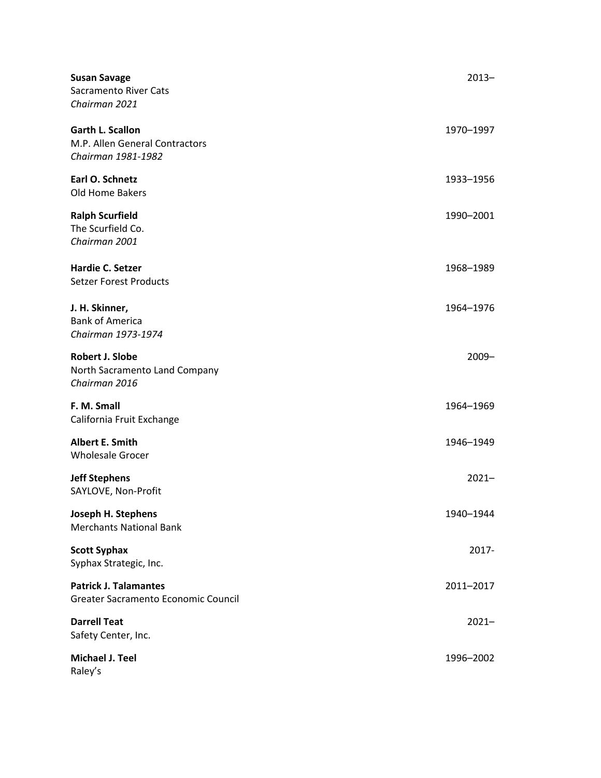| <b>Susan Savage</b><br><b>Sacramento River Cats</b><br>Chairman 2021            | $2013 -$  |
|---------------------------------------------------------------------------------|-----------|
| <b>Garth L. Scallon</b><br>M.P. Allen General Contractors<br>Chairman 1981-1982 | 1970-1997 |
| Earl O. Schnetz<br>Old Home Bakers                                              | 1933-1956 |
| <b>Ralph Scurfield</b><br>The Scurfield Co.<br>Chairman 2001                    | 1990-2001 |
| <b>Hardie C. Setzer</b><br><b>Setzer Forest Products</b>                        | 1968-1989 |
| J. H. Skinner,<br><b>Bank of America</b><br>Chairman 1973-1974                  | 1964-1976 |
| Robert J. Slobe<br>North Sacramento Land Company<br>Chairman 2016               | $2009 -$  |
| F. M. Small<br>California Fruit Exchange                                        | 1964-1969 |
| Albert E. Smith<br><b>Wholesale Grocer</b>                                      | 1946-1949 |
| <b>Jeff Stephens</b><br>SAYLOVE, Non-Profit                                     | $2021 -$  |
| Joseph H. Stephens<br><b>Merchants National Bank</b>                            | 1940-1944 |
| <b>Scott Syphax</b><br>Syphax Strategic, Inc.                                   | 2017-     |
| <b>Patrick J. Talamantes</b><br>Greater Sacramento Economic Council             | 2011-2017 |
| <b>Darrell Teat</b><br>Safety Center, Inc.                                      | $2021 -$  |
| <b>Michael J. Teel</b><br>Raley's                                               | 1996-2002 |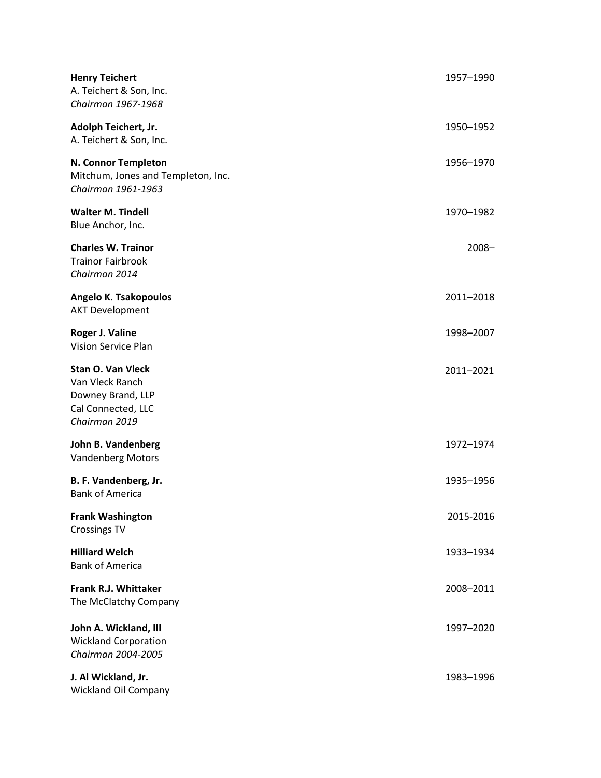| <b>Henry Teichert</b><br>A. Teichert & Son, Inc.<br>Chairman 1967-1968                                  | 1957-1990 |
|---------------------------------------------------------------------------------------------------------|-----------|
| Adolph Teichert, Jr.<br>A. Teichert & Son, Inc.                                                         | 1950-1952 |
| N. Connor Templeton<br>Mitchum, Jones and Templeton, Inc.<br>Chairman 1961-1963                         | 1956-1970 |
| <b>Walter M. Tindell</b><br>Blue Anchor, Inc.                                                           | 1970-1982 |
| <b>Charles W. Trainor</b><br><b>Trainor Fairbrook</b><br>Chairman 2014                                  | $2008 -$  |
| Angelo K. Tsakopoulos<br><b>AKT Development</b>                                                         | 2011-2018 |
| Roger J. Valine<br>Vision Service Plan                                                                  | 1998-2007 |
| <b>Stan O. Van Vleck</b><br>Van Vleck Ranch<br>Downey Brand, LLP<br>Cal Connected, LLC<br>Chairman 2019 | 2011-2021 |
| John B. Vandenberg<br><b>Vandenberg Motors</b>                                                          | 1972-1974 |
| B. F. Vandenberg, Jr.<br><b>Bank of America</b>                                                         | 1935-1956 |
| <b>Frank Washington</b><br><b>Crossings TV</b>                                                          | 2015-2016 |
| <b>Hilliard Welch</b><br><b>Bank of America</b>                                                         | 1933-1934 |
| <b>Frank R.J. Whittaker</b><br>The McClatchy Company                                                    | 2008-2011 |
| John A. Wickland, III<br><b>Wickland Corporation</b><br>Chairman 2004-2005                              | 1997-2020 |
| J. Al Wickland, Jr.<br>Wickland Oil Company                                                             | 1983-1996 |